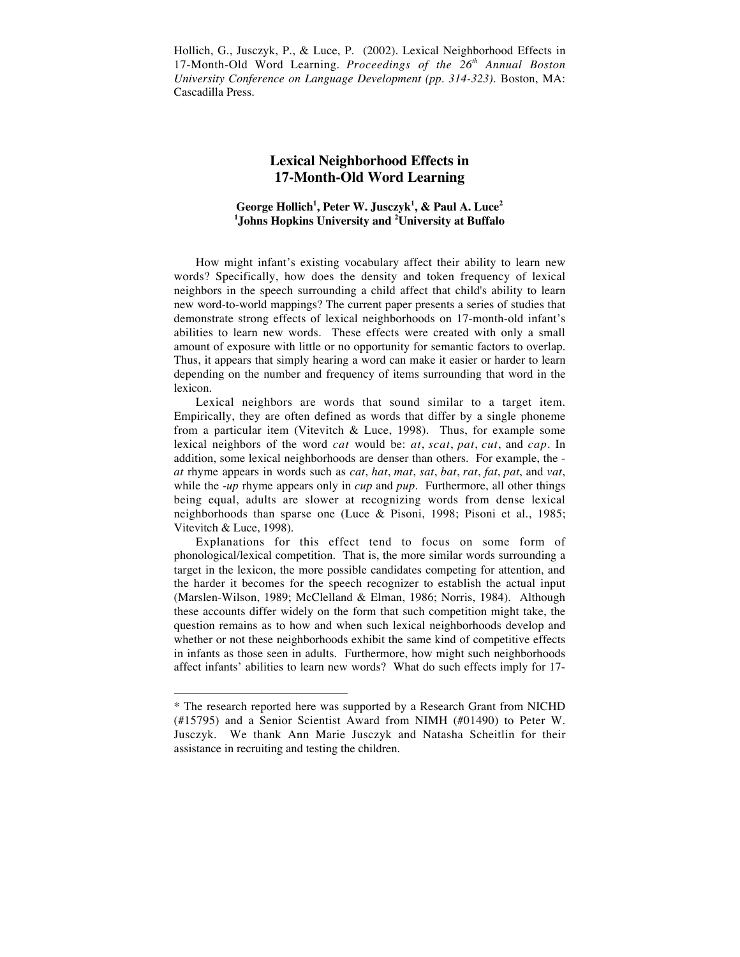Hollich, G., Jusczyk, P., & Luce, P. (2002). Lexical Neighborhood Effects in 17-Month-Old Word Learning. *Proceedings of the 26th Annual Boston University Conference on Language Development (pp. 314-323)*. Boston, MA: Cascadilla Press.

# **Lexical Neighborhood Effects in 17-Month-Old Word Learning**

## **George Hollich1 , Peter W. Jusczyk1 , & Paul A. Luce<sup>2</sup> 1 Johns Hopkins University and <sup>2</sup> University at Buffalo**

How might infant's existing vocabulary affect their ability to learn new words? Specifically, how does the density and token frequency of lexical neighbors in the speech surrounding a child affect that child's ability to learn new word-to-world mappings? The current paper presents a series of studies that demonstrate strong effects of lexical neighborhoods on 17-month-old infant's abilities to learn new words. These effects were created with only a small amount of exposure with little or no opportunity for semantic factors to overlap. Thus, it appears that simply hearing a word can make it easier or harder to learn depending on the number and frequency of items surrounding that word in the lexicon.

Lexical neighbors are words that sound similar to a target item. Empirically, they are often defined as words that differ by a single phoneme from a particular item (Vitevitch & Luce, 1998). Thus, for example some lexical neighbors of the word *cat* would be: *at*, *scat*, *pat*, *cut*, and *cap*. In addition, some lexical neighborhoods are denser than others. For example, the *at* rhyme appears in words such as *cat*, *hat*, *mat*, *sat*, *bat*, *rat*, *fat*, *pat*, and *vat*, while the -*up* rhyme appears only in *cup* and *pup*. Furthermore, all other things being equal, adults are slower at recognizing words from dense lexical neighborhoods than sparse one (Luce & Pisoni, 1998; Pisoni et al., 1985; Vitevitch & Luce, 1998).

Explanations for this effect tend to focus on some form of phonological/lexical competition. That is, the more similar words surrounding a target in the lexicon, the more possible candidates competing for attention, and the harder it becomes for the speech recognizer to establish the actual input (Marslen-Wilson, 1989; McClelland & Elman, 1986; Norris, 1984). Although these accounts differ widely on the form that such competition might take, the question remains as to how and when such lexical neighborhoods develop and whether or not these neighborhoods exhibit the same kind of competitive effects in infants as those seen in adults. Furthermore, how might such neighborhoods affect infants' abilities to learn new words? What do such effects imply for 17-

 $\overline{a}$ 

<sup>\*</sup> The research reported here was supported by a Research Grant from NICHD (#15795) and a Senior Scientist Award from NIMH (#01490) to Peter W. Jusczyk. We thank Ann Marie Jusczyk and Natasha Scheitlin for their assistance in recruiting and testing the children.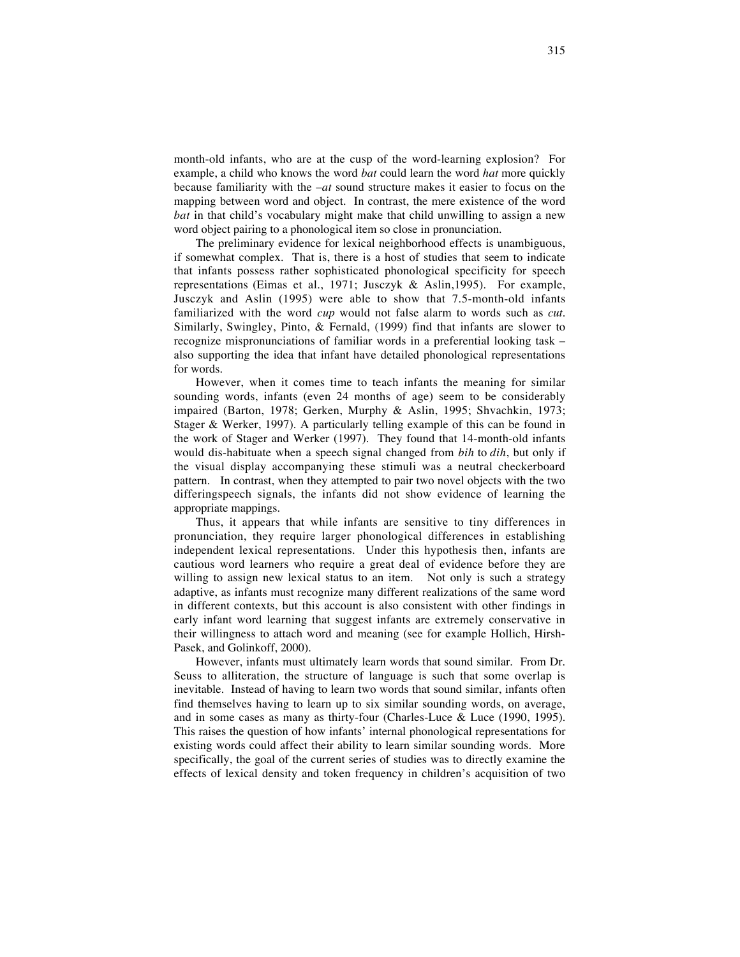month-old infants, who are at the cusp of the word-learning explosion? For example, a child who knows the word *bat* could learn the word *hat* more quickly because familiarity with the –*at* sound structure makes it easier to focus on the mapping between word and object. In contrast, the mere existence of the word *bat* in that child's vocabulary might make that child unwilling to assign a new word object pairing to a phonological item so close in pronunciation.

The preliminary evidence for lexical neighborhood effects is unambiguous, if somewhat complex. That is, there is a host of studies that seem to indicate that infants possess rather sophisticated phonological specificity for speech representations (Eimas et al., 1971; Jusczyk & Aslin,1995). For example, Jusczyk and Aslin (1995) were able to show that 7.5-month-old infants familiarized with the word *cup* would not false alarm to words such as *cut*. Similarly, Swingley, Pinto, & Fernald, (1999) find that infants are slower to recognize mispronunciations of familiar words in a preferential looking task – also supporting the idea that infant have detailed phonological representations for words.

However, when it comes time to teach infants the meaning for similar sounding words, infants (even 24 months of age) seem to be considerably impaired (Barton, 1978; Gerken, Murphy & Aslin, 1995; Shvachkin, 1973; Stager & Werker, 1997). A particularly telling example of this can be found in the work of Stager and Werker (1997). They found that 14-month-old infants would dis-habituate when a speech signal changed from *bih* to *dih*, but only if the visual display accompanying these stimuli was a neutral checkerboard pattern. In contrast, when they attempted to pair two novel objects with the two differingspeech signals, the infants did not show evidence of learning the appropriate mappings.

Thus, it appears that while infants are sensitive to tiny differences in pronunciation, they require larger phonological differences in establishing independent lexical representations. Under this hypothesis then, infants are cautious word learners who require a great deal of evidence before they are willing to assign new lexical status to an item. Not only is such a strategy adaptive, as infants must recognize many different realizations of the same word in different contexts, but this account is also consistent with other findings in early infant word learning that suggest infants are extremely conservative in their willingness to attach word and meaning (see for example Hollich, Hirsh-Pasek, and Golinkoff, 2000).

However, infants must ultimately learn words that sound similar. From Dr. Seuss to alliteration, the structure of language is such that some overlap is inevitable. Instead of having to learn two words that sound similar, infants often find themselves having to learn up to six similar sounding words, on average, and in some cases as many as thirty-four (Charles-Luce & Luce (1990, 1995). This raises the question of how infants' internal phonological representations for existing words could affect their ability to learn similar sounding words. More specifically, the goal of the current series of studies was to directly examine the effects of lexical density and token frequency in children's acquisition of two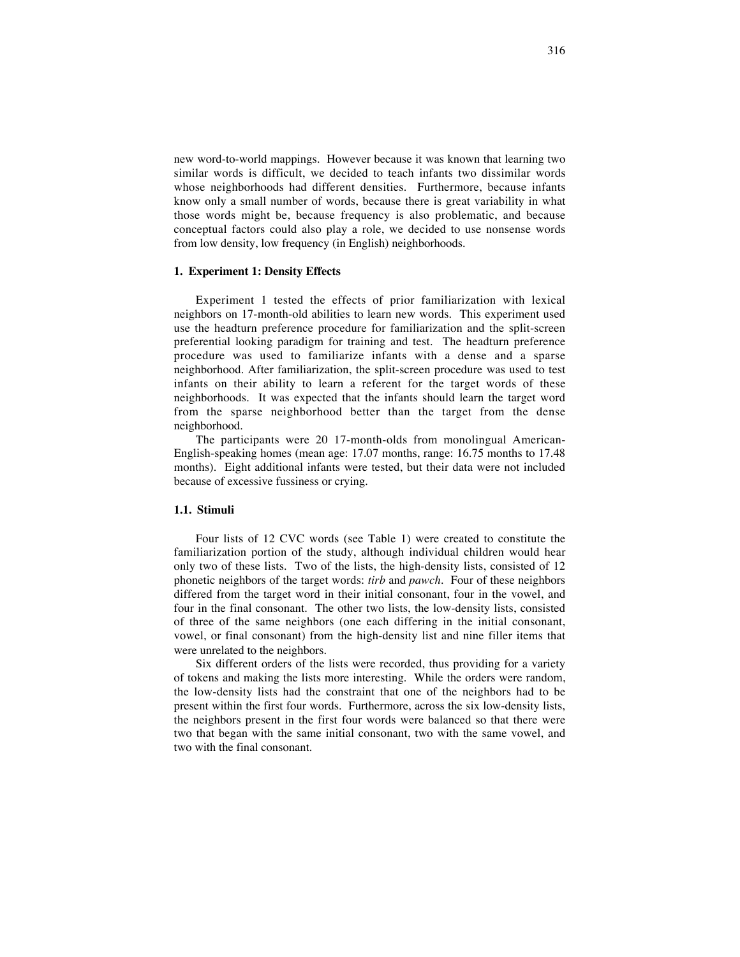new word-to-world mappings. However because it was known that learning two similar words is difficult, we decided to teach infants two dissimilar words whose neighborhoods had different densities. Furthermore, because infants know only a small number of words, because there is great variability in what those words might be, because frequency is also problematic, and because conceptual factors could also play a role, we decided to use nonsense words from low density, low frequency (in English) neighborhoods.

### **1. Experiment 1: Density Effects**

Experiment 1 tested the effects of prior familiarization with lexical neighbors on 17-month-old abilities to learn new words. This experiment used use the headturn preference procedure for familiarization and the split-screen preferential looking paradigm for training and test. The headturn preference procedure was used to familiarize infants with a dense and a sparse neighborhood. After familiarization, the split-screen procedure was used to test infants on their ability to learn a referent for the target words of these neighborhoods. It was expected that the infants should learn the target word from the sparse neighborhood better than the target from the dense neighborhood.

The participants were 20 17-month-olds from monolingual American-English-speaking homes (mean age: 17.07 months, range: 16.75 months to 17.48 months). Eight additional infants were tested, but their data were not included because of excessive fussiness or crying.

## **1.1. Stimuli**

Four lists of 12 CVC words (see Table 1) were created to constitute the familiarization portion of the study, although individual children would hear only two of these lists. Two of the lists, the high-density lists, consisted of 12 phonetic neighbors of the target words: *tirb* and *pawch.* Four of these neighbors differed from the target word in their initial consonant, four in the vowel, and four in the final consonant. The other two lists, the low-density lists, consisted of three of the same neighbors (one each differing in the initial consonant, vowel, or final consonant) from the high-density list and nine filler items that were unrelated to the neighbors.

Six different orders of the lists were recorded, thus providing for a variety of tokens and making the lists more interesting. While the orders were random, the low-density lists had the constraint that one of the neighbors had to be present within the first four words. Furthermore, across the six low-density lists, the neighbors present in the first four words were balanced so that there were two that began with the same initial consonant, two with the same vowel, and two with the final consonant.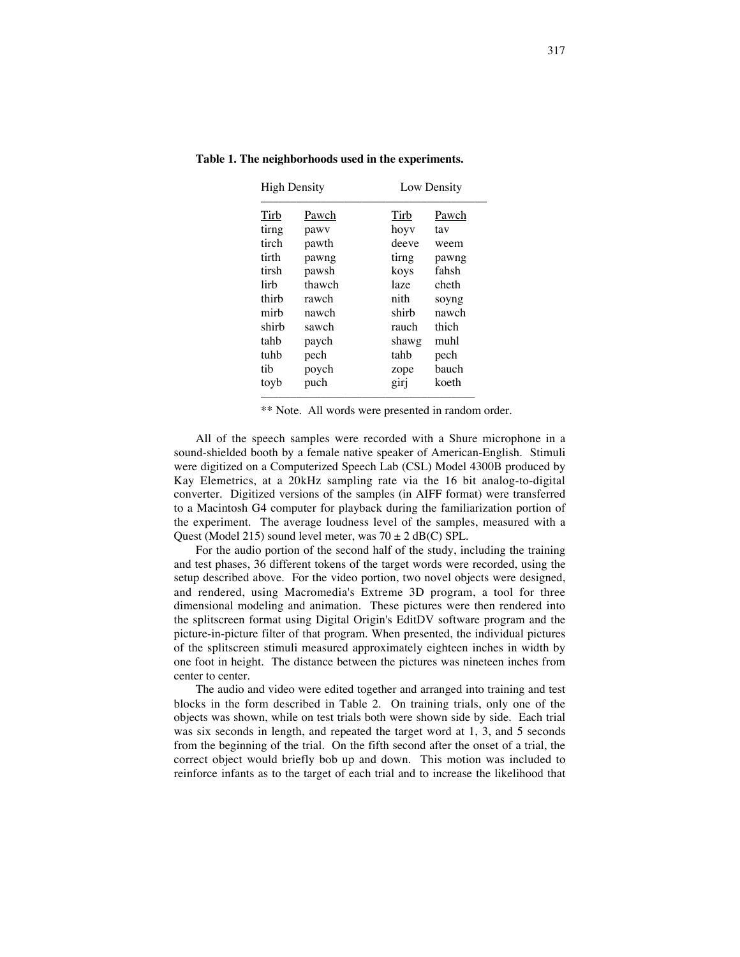| <b>High Density</b> |        | Low Density |       |
|---------------------|--------|-------------|-------|
| Tirb                | Pawch  | Tirb        | Pawch |
| tirng               | pawy   | hoyy        | tav   |
| tirch               | pawth  | deeve       | weem  |
| tirth               | pawng  | tirng       | pawng |
| tirsh               | pawsh  | koys        | fahsh |
| lirh                | thawch | laze        | cheth |
| thirh               | rawch  | nith        | soyng |
| mirb                | nawch  | shirb       | nawch |
| shirb               | sawch  | rauch       | thich |
| tahb                | paych  | shawg       | muhl  |
| tuhb                | pech   | tahb        | pech  |
| tib                 | poych  | zope        | hauch |
| toyb                | puch   | girj        | koeth |

**Table 1. The neighborhoods used in the experiments.**

\*\* Note. All words were presented in random order.

All of the speech samples were recorded with a Shure microphone in a sound-shielded booth by a female native speaker of American-English. Stimuli were digitized on a Computerized Speech Lab (CSL) Model 4300B produced by Kay Elemetrics, at a 20kHz sampling rate via the 16 bit analog-to-digital converter. Digitized versions of the samples (in AIFF format) were transferred to a Macintosh G4 computer for playback during the familiarization portion of the experiment. The average loudness level of the samples, measured with a Quest (Model 215) sound level meter, was  $70 \pm 2$  dB(C) SPL.

For the audio portion of the second half of the study, including the training and test phases, 36 different tokens of the target words were recorded, using the setup described above. For the video portion, two novel objects were designed, and rendered, using Macromedia's Extreme 3D program, a tool for three dimensional modeling and animation. These pictures were then rendered into the splitscreen format using Digital Origin's EditDV software program and the picture-in-picture filter of that program. When presented, the individual pictures of the splitscreen stimuli measured approximately eighteen inches in width by one foot in height. The distance between the pictures was nineteen inches from center to center.

The audio and video were edited together and arranged into training and test blocks in the form described in Table 2. On training trials, only one of the objects was shown, while on test trials both were shown side by side. Each trial was six seconds in length, and repeated the target word at 1, 3, and 5 seconds from the beginning of the trial. On the fifth second after the onset of a trial, the correct object would briefly bob up and down. This motion was included to reinforce infants as to the target of each trial and to increase the likelihood that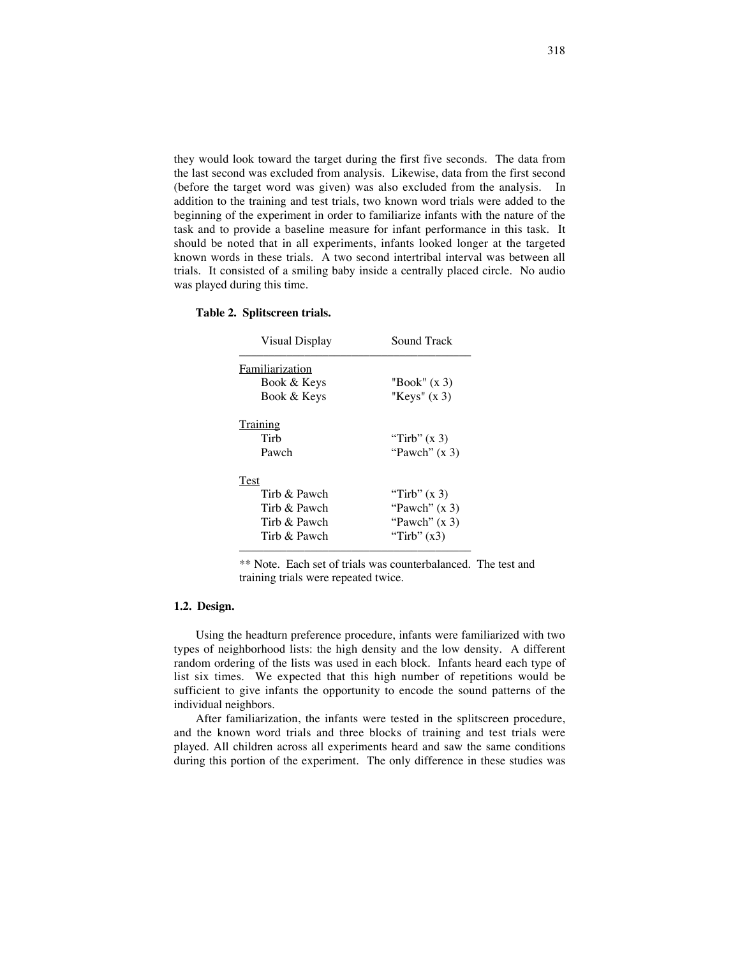they would look toward the target during the first five seconds. The data from the last second was excluded from analysis. Likewise, data from the first second (before the target word was given) was also excluded from the analysis. In addition to the training and test trials, two known word trials were added to the beginning of the experiment in order to familiarize infants with the nature of the task and to provide a baseline measure for infant performance in this task. It should be noted that in all experiments, infants looked longer at the targeted known words in these trials. A two second intertribal interval was between all trials. It consisted of a smiling baby inside a centrally placed circle. No audio was played during this time.

| <b>Visual Display</b> | Sound Track     |  |  |
|-----------------------|-----------------|--|--|
| Familiarization       |                 |  |  |
| Book & Keys           | "Book" $(x 3)$  |  |  |
| Book & Keys           | "Keys" $(x 3)$  |  |  |
| Training              |                 |  |  |
| Tirb                  | "Tirb" $(x 3)$  |  |  |
| Pawch                 | "Pawch" $(x 3)$ |  |  |
| Test                  |                 |  |  |
| Tirh & Pawch          | "Tirb" $(x 3)$  |  |  |
| Tirb & Pawch          | "Pawch" $(x 3)$ |  |  |
| Tirb & Pawch          | "Pawch" $(x 3)$ |  |  |
| Tirh & Pawch          | "Tirb" $(x3)$   |  |  |

#### **Table 2. Splitscreen trials.**

\*\* Note. Each set of trials was counterbalanced. The test and training trials were repeated twice.

### **1.2. Design.**

Using the headturn preference procedure, infants were familiarized with two types of neighborhood lists: the high density and the low density. A different random ordering of the lists was used in each block. Infants heard each type of list six times. We expected that this high number of repetitions would be sufficient to give infants the opportunity to encode the sound patterns of the individual neighbors.

After familiarization, the infants were tested in the splitscreen procedure, and the known word trials and three blocks of training and test trials were played. All children across all experiments heard and saw the same conditions during this portion of the experiment. The only difference in these studies was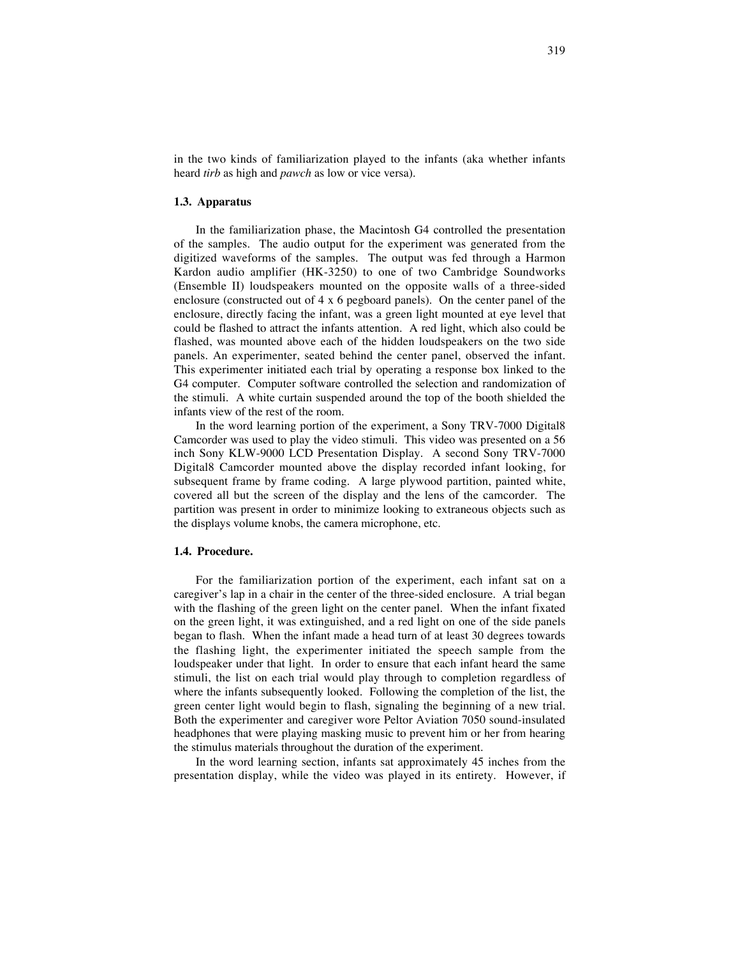in the two kinds of familiarization played to the infants (aka whether infants heard *tirb* as high and *pawch* as low or vice versa).

#### **1.3. Apparatus**

In the familiarization phase, the Macintosh G4 controlled the presentation of the samples. The audio output for the experiment was generated from the digitized waveforms of the samples. The output was fed through a Harmon Kardon audio amplifier (HK-3250) to one of two Cambridge Soundworks (Ensemble II) loudspeakers mounted on the opposite walls of a three-sided enclosure (constructed out of 4 x 6 pegboard panels). On the center panel of the enclosure, directly facing the infant, was a green light mounted at eye level that could be flashed to attract the infants attention. A red light, which also could be flashed, was mounted above each of the hidden loudspeakers on the two side panels. An experimenter, seated behind the center panel, observed the infant. This experimenter initiated each trial by operating a response box linked to the G4 computer. Computer software controlled the selection and randomization of the stimuli. A white curtain suspended around the top of the booth shielded the infants view of the rest of the room.

In the word learning portion of the experiment, a Sony TRV-7000 Digital8 Camcorder was used to play the video stimuli. This video was presented on a 56 inch Sony KLW-9000 LCD Presentation Display. A second Sony TRV-7000 Digital8 Camcorder mounted above the display recorded infant looking, for subsequent frame by frame coding. A large plywood partition, painted white, covered all but the screen of the display and the lens of the camcorder. The partition was present in order to minimize looking to extraneous objects such as the displays volume knobs, the camera microphone, etc.

## **1.4. Procedure.**

For the familiarization portion of the experiment, each infant sat on a caregiver's lap in a chair in the center of the three-sided enclosure. A trial began with the flashing of the green light on the center panel. When the infant fixated on the green light, it was extinguished, and a red light on one of the side panels began to flash. When the infant made a head turn of at least 30 degrees towards the flashing light, the experimenter initiated the speech sample from the loudspeaker under that light. In order to ensure that each infant heard the same stimuli, the list on each trial would play through to completion regardless of where the infants subsequently looked. Following the completion of the list, the green center light would begin to flash, signaling the beginning of a new trial. Both the experimenter and caregiver wore Peltor Aviation 7050 sound-insulated headphones that were playing masking music to prevent him or her from hearing the stimulus materials throughout the duration of the experiment.

In the word learning section, infants sat approximately 45 inches from the presentation display, while the video was played in its entirety. However, if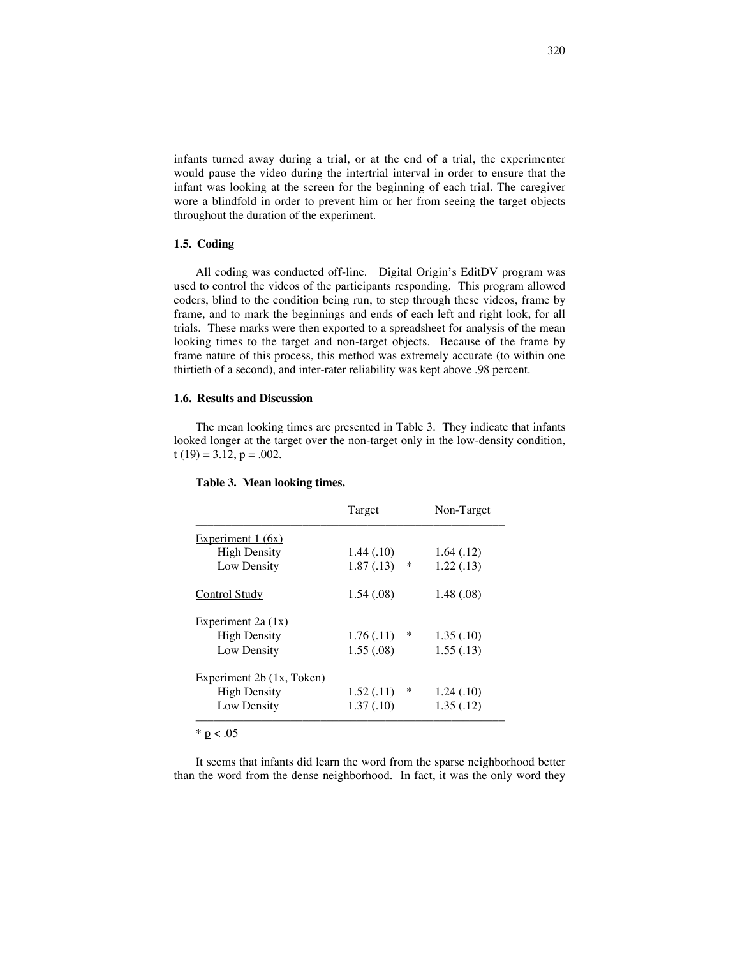infants turned away during a trial, or at the end of a trial, the experimenter would pause the video during the intertrial interval in order to ensure that the infant was looking at the screen for the beginning of each trial. The caregiver wore a blindfold in order to prevent him or her from seeing the target objects throughout the duration of the experiment.

## **1.5. Coding**

All coding was conducted off-line. Digital Origin's EditDV program was used to control the videos of the participants responding. This program allowed coders, blind to the condition being run, to step through these videos, frame by frame, and to mark the beginnings and ends of each left and right look, for all trials. These marks were then exported to a spreadsheet for analysis of the mean looking times to the target and non-target objects. Because of the frame by frame nature of this process, this method was extremely accurate (to within one thirtieth of a second), and inter-rater reliability was kept above .98 percent.

## **1.6. Results and Discussion**

The mean looking times are presented in Table 3. They indicate that infants looked longer at the target over the non-target only in the low-density condition, t  $(19) = 3.12$ ,  $p = .002$ .

|                           | Target          | Non-Target |
|---------------------------|-----------------|------------|
| Experiment $1(6x)$        |                 |            |
| <b>High Density</b>       | 1.44(0.10)      | 1.64(0.12) |
| Low Density               | 1.87(0.13)<br>∗ | 1.22(0.13) |
| <b>Control Study</b>      | 1.54(0.08)      | 1.48(0.08) |
| Experiment $2a(1x)$       |                 |            |
| <b>High Density</b>       | 1.76(0.11)<br>∗ | 1.35(0.10) |
| Low Density               | 1.55(.08)       | 1.55(.13)  |
| Experiment 2b (1x, Token) |                 |            |
| <b>High Density</b>       | 1.52(0.11)<br>∗ | 1.24(0.10) |
| Low Density               | 1.37(0.10)      | 1.35(.12)  |
|                           |                 |            |

#### **Table 3. Mean looking times.**

 $* p < .05$ 

It seems that infants did learn the word from the sparse neighborhood better than the word from the dense neighborhood. In fact, it was the only word they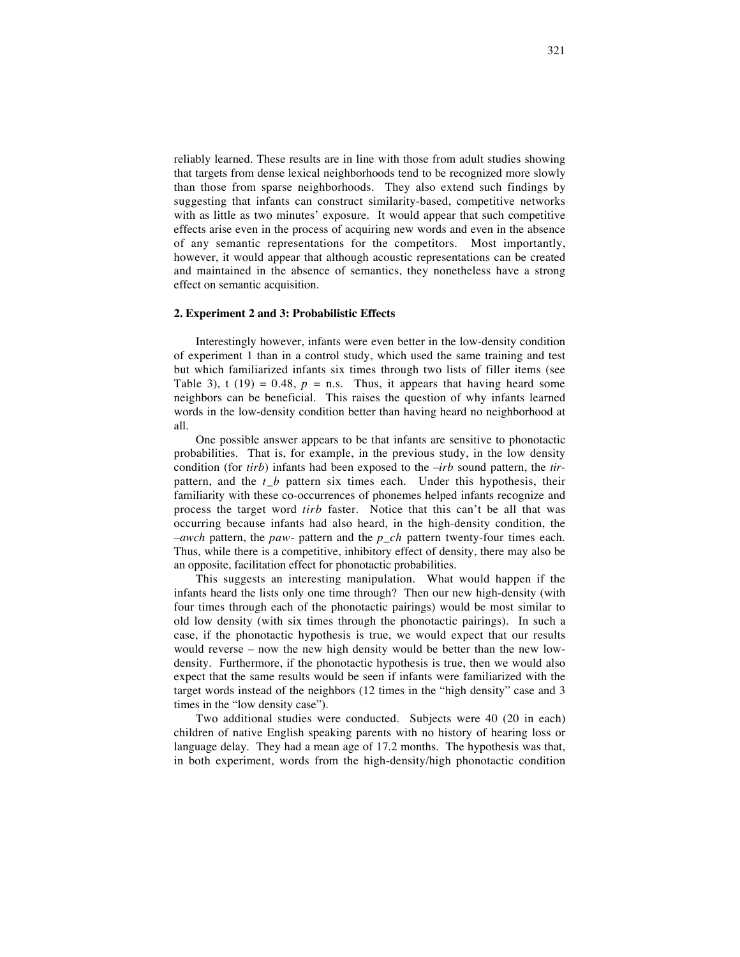reliably learned. These results are in line with those from adult studies showing that targets from dense lexical neighborhoods tend to be recognized more slowly than those from sparse neighborhoods. They also extend such findings by suggesting that infants can construct similarity-based, competitive networks with as little as two minutes' exposure. It would appear that such competitive effects arise even in the process of acquiring new words and even in the absence of any semantic representations for the competitors. Most importantly, however, it would appear that although acoustic representations can be created and maintained in the absence of semantics, they nonetheless have a strong effect on semantic acquisition.

#### **2. Experiment 2 and 3: Probabilistic Effects**

Interestingly however, infants were even better in the low-density condition of experiment 1 than in a control study, which used the same training and test but which familiarized infants six times through two lists of filler items (see Table 3), t (19) = 0.48,  $p =$  n.s. Thus, it appears that having heard some neighbors can be beneficial. This raises the question of why infants learned words in the low-density condition better than having heard no neighborhood at all.

One possible answer appears to be that infants are sensitive to phonotactic probabilities. That is, for example, in the previous study, in the low density condition (for *tirb*) infants had been exposed to the –*irb* sound pattern, the *tir*pattern, and the *t b* pattern six times each. Under this hypothesis, their familiarity with these co-occurrences of phonemes helped infants recognize and process the target word *tirb* faster. Notice that this can't be all that was occurring because infants had also heard, in the high-density condition, the –*awch* pattern, the *paw*- pattern and the *p\_ch* pattern twenty-four times each. Thus, while there is a competitive, inhibitory effect of density, there may also be an opposite, facilitation effect for phonotactic probabilities.

This suggests an interesting manipulation. What would happen if the infants heard the lists only one time through? Then our new high-density (with four times through each of the phonotactic pairings) would be most similar to old low density (with six times through the phonotactic pairings). In such a case, if the phonotactic hypothesis is true, we would expect that our results would reverse – now the new high density would be better than the new lowdensity. Furthermore, if the phonotactic hypothesis is true, then we would also expect that the same results would be seen if infants were familiarized with the target words instead of the neighbors (12 times in the "high density" case and 3 times in the "low density case").

Two additional studies were conducted. Subjects were 40 (20 in each) children of native English speaking parents with no history of hearing loss or language delay. They had a mean age of 17.2 months. The hypothesis was that, in both experiment, words from the high-density/high phonotactic condition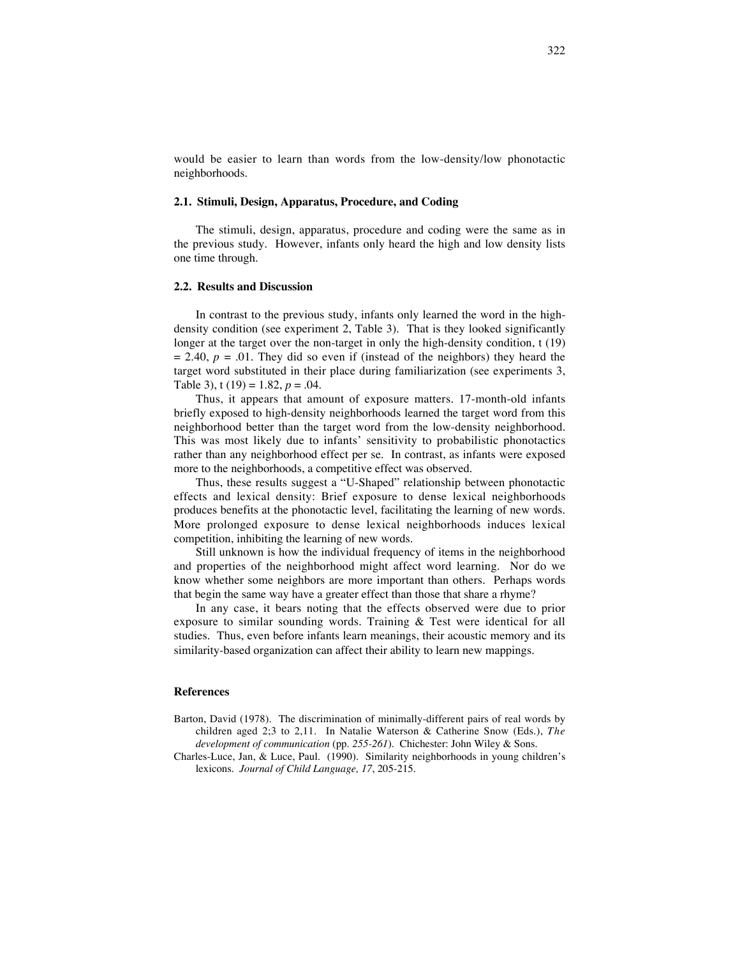would be easier to learn than words from the low-density/low phonotactic neighborhoods.

#### **2.1. Stimuli, Design, Apparatus, Procedure, and Coding**

The stimuli, design, apparatus, procedure and coding were the same as in the previous study. However, infants only heard the high and low density lists one time through.

### **2.2. Results and Discussion**

In contrast to the previous study, infants only learned the word in the highdensity condition (see experiment 2, Table 3). That is they looked significantly longer at the target over the non-target in only the high-density condition, t (19)  $= 2.40, p = .01$ . They did so even if (instead of the neighbors) they heard the target word substituted in their place during familiarization (see experiments 3, Table 3), t (19) = 1.82, *p* = .04.

Thus, it appears that amount of exposure matters. 17-month-old infants briefly exposed to high-density neighborhoods learned the target word from this neighborhood better than the target word from the low-density neighborhood. This was most likely due to infants' sensitivity to probabilistic phonotactics rather than any neighborhood effect per se. In contrast, as infants were exposed more to the neighborhoods, a competitive effect was observed.

Thus, these results suggest a "U-Shaped" relationship between phonotactic effects and lexical density: Brief exposure to dense lexical neighborhoods produces benefits at the phonotactic level, facilitating the learning of new words. More prolonged exposure to dense lexical neighborhoods induces lexical competition, inhibiting the learning of new words.

Still unknown is how the individual frequency of items in the neighborhood and properties of the neighborhood might affect word learning. Nor do we know whether some neighbors are more important than others. Perhaps words that begin the same way have a greater effect than those that share a rhyme?

In any case, it bears noting that the effects observed were due to prior exposure to similar sounding words. Training & Test were identical for all studies. Thus, even before infants learn meanings, their acoustic memory and its similarity-based organization can affect their ability to learn new mappings.

#### **References**

- Barton, David (1978). The discrimination of minimally-different pairs of real words by children aged 2;3 to 2,11. In Natalie Waterson & Catherine Snow (Eds.), *The development of communication* (pp. *255-261*). Chichester: John Wiley & Sons.
- Charles-Luce, Jan, & Luce, Paul. (1990). Similarity neighborhoods in young children's lexicons. *Journal of Child Language, 17*, 205-215.